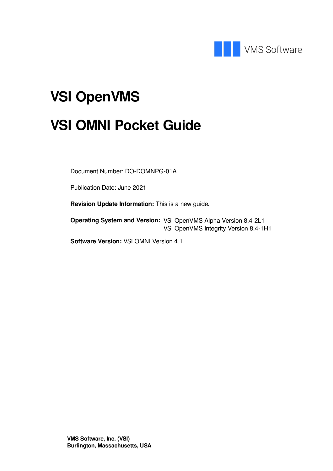

# **VSI OpenVMS**

# **VSI OMNI Pocket Guide**

Document Number: DO-DOMNPG-01A

Publication Date: June 2021

**Revision Update Information:** This is a new guide.

**Operating System and Version:** VSI OpenVMS Alpha Version 8.4-2L1 VSI OpenVMS Integrity Version 8.4-1H1

**Software Version:** VSI OMNI Version 4.1

**VMS Software, Inc. (VSI) Burlington, Massachusetts, USA**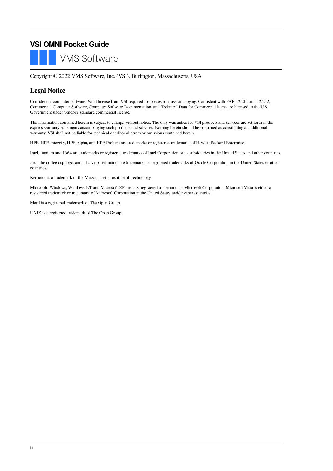### **VSI OMNI Pocket Guide VMS Software**

Copyright © 2022 VMS Software, Inc. (VSI), Burlington, Massachusetts, USA

### **Legal Notice**

Confidential computer software. Valid license from VSI required for possession, use or copying. Consistent with FAR 12.211 and 12.212, Commercial Computer Software, Computer Software Documentation, and Technical Data for Commercial Items are licensed to the U.S. Government under vendor's standard commercial license.

The information contained herein is subject to change without notice. The only warranties for VSI products and services are set forth in the express warranty statements accompanying such products and services. Nothing herein should be construed as constituting an additional warranty. VSI shall not be liable for technical or editorial errors or omissions contained herein.

HPE, HPE Integrity, HPE Alpha, and HPE Proliant are trademarks or registered trademarks of Hewlett Packard Enterprise.

Intel, Itanium and IA64 are trademarks or registered trademarks of Intel Corporation or its subsidiaries in the United States and other countries.

Java, the coffee cup logo, and all Java based marks are trademarks or registered trademarks of Oracle Corporation in the United States or other countries.

Kerberos is a trademark of the Massachusetts Institute of Technology.

Microsoft, Windows, Windows-NT and Microsoft XP are U.S. registered trademarks of Microsoft Corporation. Microsoft Vista is either a registered trademark or trademark of Microsoft Corporation in the United States and/or other countries.

Motif is a registered trademark of The Open Group

UNIX is a registered trademark of The Open Group.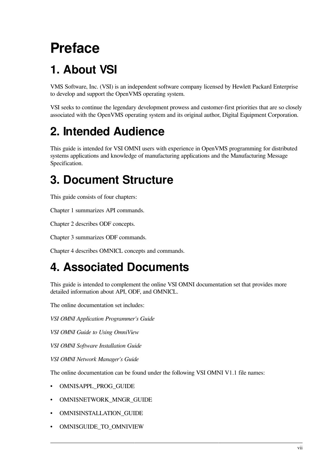# <span id="page-6-0"></span>**Preface**

# <span id="page-6-1"></span>**1. About VSI**

VMS Software, Inc. (VSI) is an independent software company licensed by Hewlett Packard Enterprise to develop and support the OpenVMS operating system.

VSI seeks to continue the legendary development prowess and customer-first priorities that are so closely associated with the OpenVMS operating system and its original author, Digital Equipment Corporation.

# <span id="page-6-2"></span>**2. Intended Audience**

This guide is intended for VSI OMNI users with experience in OpenVMS programming for distributed systems applications and knowledge of manufacturing applications and the Manufacturing Message Specification.

## <span id="page-6-3"></span>**3. Document Structure**

This guide consists of four chapters:

[Chapter](#page-8-0) 1 summarizes API commands.

[Chapter](#page-30-0) 2 describes ODF concepts.

[Chapter](#page-42-0) 3 summarizes ODF commands.

[Chapter](#page-48-0) 4 describes OMNICL concepts and commands.

## <span id="page-6-4"></span>**4. Associated Documents**

This guide is intended to complement the online VSI OMNI documentation set that provides more detailed information about API, ODF, and OMNICL.

The online documentation set includes:

*VSI OMNI Application Programmer's Guide*

*VSI OMNI Guide to Using OmniView*

*VSI OMNI Software Installation Guide*

*VSI OMNI Network Manager's Guide*

The online documentation can be found under the following VSI OMNI V1.1 file names:

- OMNI\$APPL\_PROG\_GUIDE
- OMNI\$NETWORK\_MNGR\_GUIDE
- OMNI\$INSTALLATION\_GUIDE
- OMNI\$GUIDE\_TO\_OMNIVIEW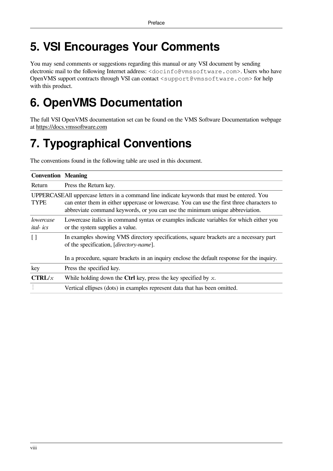# <span id="page-7-0"></span>**5. VSI Encourages Your Comments**

You may send comments or suggestions regarding this manual or any VSI document by sending electronic mail to the following Internet address: <docinfo@vmssoftware.com>. Users who have OpenVMS support contracts through VSI can contact <support@vmssoftware.com> for help with this product.

## <span id="page-7-1"></span>**6. OpenVMS Documentation**

The full VSI OpenVMS documentation set can be found on the VMS Software Documentation webpage at <https://docs.vmssoftware.com>

# <span id="page-7-2"></span>**7. Typographical Conventions**

The conventions found in the following table are used in this document.

| <b>Convention   Meaning</b>                                                                                                                                                                                                                                                               |                                                                                                                                                                                                                                           |  |
|-------------------------------------------------------------------------------------------------------------------------------------------------------------------------------------------------------------------------------------------------------------------------------------------|-------------------------------------------------------------------------------------------------------------------------------------------------------------------------------------------------------------------------------------------|--|
| Return                                                                                                                                                                                                                                                                                    | Press the Return key.                                                                                                                                                                                                                     |  |
| UPPERCASEAII uppercase letters in a command line indicate keywords that must be entered. You<br><b>TYPE</b><br>can enter them in either uppercase or lowercase. You can use the first three characters to<br>abbreviate command keywords, or you can use the minimum unique abbreviation. |                                                                                                                                                                                                                                           |  |
| lowercase<br><i>ital-ics</i>                                                                                                                                                                                                                                                              | Lowercase italics in command syntax or examples indicate variables for which either you<br>or the system supplies a value.                                                                                                                |  |
| $\lceil$                                                                                                                                                                                                                                                                                  | In examples showing VMS directory specifications, square brackets are a necessary part<br>of the specification, [ <i>directory-name</i> ].<br>In a procedure, square brackets in an inquiry enclose the default response for the inquiry. |  |
| key                                                                                                                                                                                                                                                                                       | Press the specified key.                                                                                                                                                                                                                  |  |
| CTRL/x                                                                                                                                                                                                                                                                                    | While holding down the Ctrl key, press the key specified by $x$ .                                                                                                                                                                         |  |
|                                                                                                                                                                                                                                                                                           | Vertical ellipses (dots) in examples represent data that has been omitted.                                                                                                                                                                |  |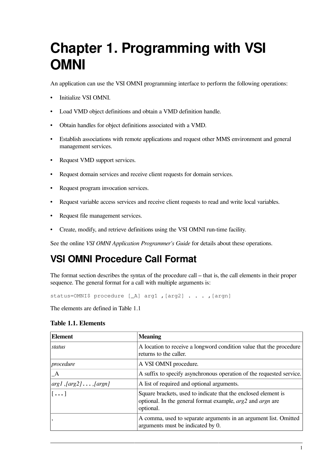# <span id="page-8-0"></span>**Chapter 1. Programming with VSI OMNI**

An application can use the VSI OMNI programming interface to perform the following operations:

- Initialize VSI OMNI.
- Load VMD object definitions and obtain a VMD definition handle.
- Obtain handles for object definitions associated with a VMD.
- Establish associations with remote applications and request other MMS environment and general management services.
- Request VMD support services.
- Request domain services and receive client requests for domain services.
- Request program invocation services.
- Request variable access services and receive client requests to read and write local variables.
- Request file management services.
- Create, modify, and retrieve definitions using the VSI OMNI run-time facility.

See the online *VSI OMNI Application Programmer's Guide* for details about these operations.

### **VSI OMNI Procedure Call Format**

The format section describes the syntax of the procedure call – that is, the call elements in their proper sequence. The general format for a call with multiple arguments is:

status=OMNI\$ procedure [\_A] arg1, [arg2] . . ., [argn]

<span id="page-8-1"></span>The elements are defined in [Table](#page-8-1) 1.1

#### **Table 1.1. Elements**

| <b>Element</b>                                                  | <b>Meaning</b>                                                                                                                                           |
|-----------------------------------------------------------------|----------------------------------------------------------------------------------------------------------------------------------------------------------|
| status                                                          | A location to receive a longword condition value that the procedure<br>returns to the caller.                                                            |
| procedure                                                       | A VSI OMNI procedure.                                                                                                                                    |
| A                                                               | A suffix to specify asynchronous operation of the requested service.                                                                                     |
| $\lfloor arg1, \lfloor arg2 \rfloor \dots \lfloor argn \rfloor$ | A list of required and optional arguments.                                                                                                               |
| $\lfloor \ldots \rfloor$                                        | Square brackets, used to indicate that the enclosed element is<br>optional. In the general format example, <i>arg</i> 2 and <i>argn</i> are<br>optional. |
|                                                                 | A comma, used to separate arguments in an argument list. Omitted<br>arguments must be indicated by 0.                                                    |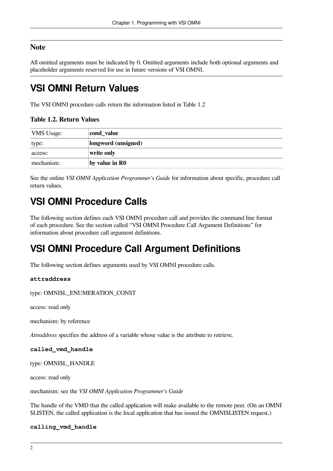### **Note**

All omitted arguments must be indicated by 0. Omitted arguments include both optional arguments and placeholder arguments reserved for use in future versions of VSI OMNI.

### **VSI OMNI Return Values**

<span id="page-9-0"></span>The VSI OMNI procedure calls return the information listed in [Table](#page-9-0) 1.2

#### **Table 1.2. Return Values**

| <b>VMS</b> Usage: | cond_value          |
|-------------------|---------------------|
| type:             | longword (unsigned) |
| access:           | write only          |
| mechanism:        | by value in R0      |

See the online *VSI OMNI Application Programmer's Guide* for information about specific, procedure call return values.

### **VSI OMNI Procedure Calls**

The following section defines each VSI OMNI procedure call and provides the command line format of each procedure. See the section called "VSI OMNI Procedure Call Argument [Definitions"](#page-9-1) for information about procedure call argument definitions.

### <span id="page-9-1"></span>**VSI OMNI Procedure Call Argument Definitions**

The following section defines arguments used by VSI OMNI procedure calls.

#### **attraddress**

type: OMNI\$L\_ENUMERATION\_CONST

access: read only

mechanism: by reference

*Attraddress* specifies the address of a variable whose value is the attribute to retrieve.

#### **called\_vmd\_handle**

type: OMNI\$L\_HANDLE

access: read only

mechanism: see the *VSI OMNI Application Programmer's Guide*

The handle of the VMD that the called application will make available to the remote peer. (On an OMNI \$LISTEN, the called application is the local application that has issued the OMNI\$LISTEN request.)

#### **calling\_vmd\_handle**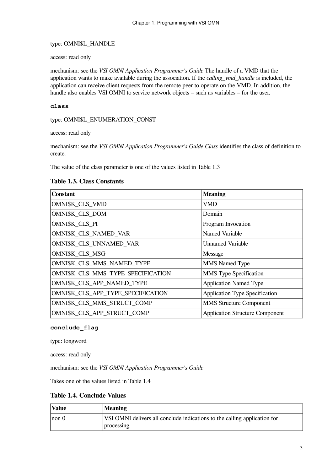#### type: OMNI\$L\_HANDLE

access: read only

mechanism: see the *VSI OMNI Application Programmer's Guide* The handle of a VMD that the application wants to make available during the association. If the *calling\_vmd\_handle* is included, the application can receive client requests from the remote peer to operate on the VMD. In addition, the handle also enables VSI OMNI to service network objects – such as variables – for the user.

#### **class**

type: OMNI\$L\_ENUMERATION\_CONST

access: read only

mechanism: see the *VSI OMNI Application Programmer's Guide Class* identifies the class of definition to create.

<span id="page-10-0"></span>The value of the class parameter is one of the values listed in [Table](#page-10-0) 1.3

#### **Table 1.3. Class Constants**

| <b>Constant</b>                    | <b>Meaning</b>                         |
|------------------------------------|----------------------------------------|
| OMNI\$K_CLS_VMD                    | VMD                                    |
| OMNI\$K_CLS_DOM                    | Domain                                 |
| OMNI\$K_CLS_PI                     | Program Invocation                     |
| OMNI\$K_CLS_NAMED_VAR              | Named Variable                         |
| OMNI\$K_CLS_UNNAMED_VAR            | <b>Unnamed Variable</b>                |
| OMNI\$K_CLS_MSG                    | Message                                |
| OMNI\$K_CLS_MMS_NAMED_TYPE         | <b>MMS</b> Named Type                  |
| OMNI\$K_CLS_MMS_TYPE_SPECIFICATION | <b>MMS</b> Type Specification          |
| OMNI\$K_CLS_APP_NAMED_TYPE         | <b>Application Named Type</b>          |
| OMNI\$K_CLS_APP_TYPE_SPECIFICATION | Application Type Specification         |
| OMNI\$K_CLS_MMS_STRUCT_COMP        | <b>MMS</b> Structure Component         |
| OMNI\$K_CLS_APP_STRUCT_COMP        | <b>Application Structure Component</b> |

#### **conclude\_flag**

type: longword

access: read only

mechanism: see the *VSI OMNI Application Programmer's Guide*

<span id="page-10-1"></span>Takes one of the values listed in [Table](#page-10-1) 1.4

#### **Table 1.4. Conclude Values**

| <b>Value</b> | <b>Meaning</b>                                                            |
|--------------|---------------------------------------------------------------------------|
| non 0        | VSI OMNI delivers all conclude indications to the calling application for |
|              | processing.                                                               |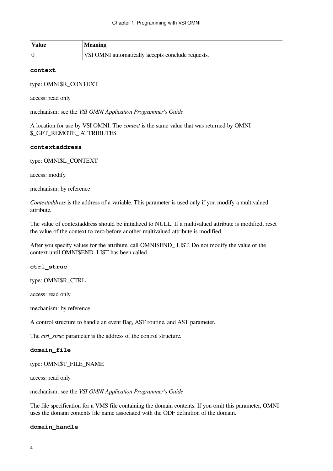| 'Value | <b>Meaning</b>                                    |
|--------|---------------------------------------------------|
|        | VSI OMNI automatically accepts conclude requests. |

#### **context**

type: OMNI\$R\_CONTEXT

access: read only

mechanism: see the *VSI OMNI Application Programmer's Guide*

A location for use by VSI OMNI. The *context* is the same value that was returned by OMNI \$\_GET\_REMOTE\_ ATTRIBUTES.

#### **contextaddress**

type: OMNI\$L\_CONTEXT

access: modify

mechanism: by reference

*Contextaddress* is the address of a variable. This parameter is used only if you modify a multivalued attribute.

The value of contextaddress should be initialized to NULL. If a multivalued attribute is modified, reset the value of the context to zero before another multivalued attribute is modified.

After you specify values for the attribute, call OMNI\$END\_ LIST. Do not modify the value of the context until OMNI\$END\_LIST has been called.

#### **ctrl\_struc**

type: OMNI\$R\_CTRL

access: read only

mechanism: by reference

A control structure to handle an event flag, AST routine, and AST parameter.

The *ctrl\_struc* parameter is the address of the control structure.

#### **domain\_file**

type: OMNI\$T\_FILE\_NAME

access: read only

mechanism: see the *VSI OMNI Application Programmer's Guide*

The file specification for a VMS file containing the domain contents. If you omit this parameter, OMNI uses the domain contents file name associated with the ODF definition of the domain.

#### **domain\_handle**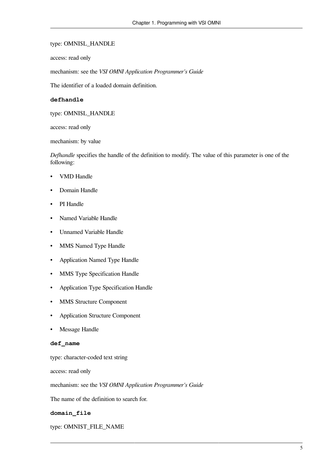#### type: OMNI\$L\_HANDLE

access: read only

mechanism: see the *VSI OMNI Application Programmer's Guide*

The identifier of a loaded domain definition.

#### **defhandle**

type: OMNI\$L\_HANDLE

access: read only

mechanism: by value

*Defhandle* specifies the handle of the definition to modify. The value of this parameter is one of the following:

- VMD Handle
- Domain Handle
- PI Handle
- Named Variable Handle
- Unnamed Variable Handle
- MMS Named Type Handle
- Application Named Type Handle
- MMS Type Specification Handle
- Application Type Specification Handle
- MMS Structure Component
- Application Structure Component
- Message Handle

#### **def\_name**

type: character-coded text string

access: read only

mechanism: see the *VSI OMNI Application Programmer's Guide*

The name of the definition to search for.

#### **domain\_file**

type: OMNI\$T\_FILE\_NAME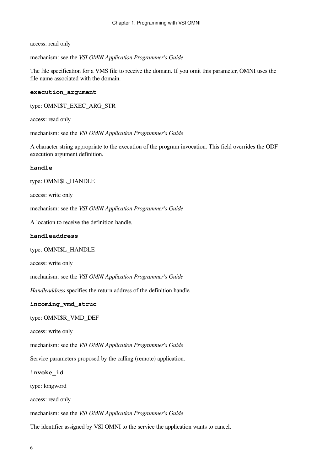access: read only

mechanism: see the *VSI OMNI Application Programmer's Guide*

The file specification for a VMS file to receive the domain. If you omit this parameter, OMNI uses the file name associated with the domain.

#### **execution\_argument**

type: OMNI\$T\_EXEC\_ARG\_STR

access: read only

mechanism: see the *VSI OMNI Application Programmer's Guide*

A character string appropriate to the execution of the program invocation. This field overrides the ODF execution argument definition.

#### **handle**

#### type: OMNI\$L\_HANDLE

access: write only

mechanism: see the *VSI OMNI Application Programmer's Guide*

A location to receive the definition handle.

#### **handleaddress**

type: OMNI\$L\_HANDLE

access: write only

mechanism: see the *VSI OMNI Application Programmer's Guide*

*Handleaddress* specifies the return address of the definition handle.

#### **incoming\_vmd\_struc**

type: OMNI\$R\_VMD\_DEF

access: write only

mechanism: see the *VSI OMNI Application Programmer's Guide*

Service parameters proposed by the calling (remote) application.

#### **invoke\_id**

type: longword

access: read only

mechanism: see the *VSI OMNI Application Programmer's Guide*

The identifier assigned by VSI OMNI to the service the application wants to cancel.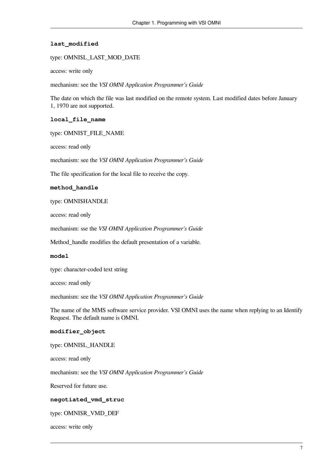#### **last\_modified**

type: OMNI\$L\_LAST\_MOD\_DATE

access: write only

mechanism: see the *VSI OMNI Application Programmer's Guide*

The date on which the file was last modified on the remote system. Last modified dates before January 1, 1970 are not supported.

#### **local\_file\_name**

type: OMNI\$T\_FILE\_NAME

access: read only

mechanism: see the *VSI OMNI Application Programmer's Guide*

The file specification for the local file to receive the copy.

#### **method\_handle**

type: OMNI\$HANDLE

access: read only

mechanism: sse the *VSI OMNI Application Programmer's Guide*

Method\_handle modifies the default presentation of a variable.

#### **model**

type: character-coded text string

access: read only

mechanism: see the *VSI OMNI Application Programmer's Guide*

The name of the MMS software service provider. VSI OMNI uses the name when replying to an Identify Request. The default name is OMNI.

#### **modifier\_object**

type: OMNI\$L\_HANDLE

access: read only

mechanism: see the *VSI OMNI Application Programmer's Guide*

Reserved for future use.

#### **negotiated\_vmd\_struc**

type: OMNI\$R\_VMD\_DEF

access: write only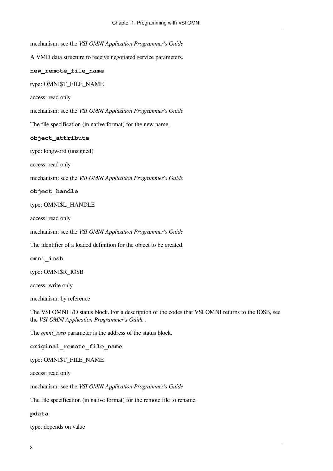mechanism: see the *VSI OMNI Application Programmer's Guide*

A VMD data structure to receive negotiated service parameters.

#### **new\_remote\_file\_name**

type: OMNI\$T\_FILE\_NAME

access: read only

mechanism: see the *VSI OMNI Application Programmer's Guide*

The file specification (in native format) for the new name.

#### **object\_attribute**

type: longword (unsigned)

access: read only

mechanism: see the *VSI OMNI Application Programmer's Guide*

#### **object\_handle**

type: OMNI\$L\_HANDLE

access: read only

mechanism: see the *VSI OMNI Application Programmer's Guide*

The identifier of a loaded definition for the object to be created.

#### **omni\_iosb**

type: OMNI\$R\_IOSB

access: write only

mechanism: by reference

The VSI OMNI I/O status block. For a description of the codes that VSI OMNI returns to the IOSB, see the *VSI OMNI Application Programmer's Guide* .

The *omni\_iosb* parameter is the address of the status block.

#### **original\_remote\_file\_name**

#### type: OMNI\$T\_FILE\_NAME

access: read only

mechanism: see the *VSI OMNI Application Programmer's Guide*

The file specification (in native format) for the remote file to rename.

#### **pdata**

type: depends on value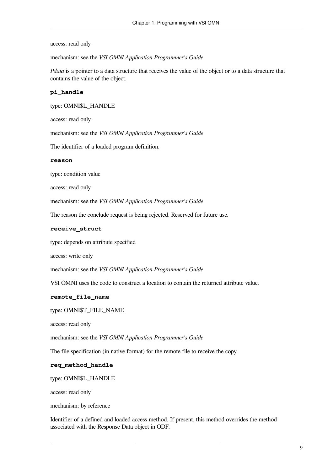access: read only

mechanism: see the *VSI OMNI Application Programmer's Guide*

*Pdata* is a pointer to a data structure that receives the value of the object or to a data structure that contains the value of the object.

#### **pi\_handle**

type: OMNI\$L\_HANDLE

access: read only

mechanism: see the *VSI OMNI Application Programmer's Guide*

The identifier of a loaded program definition.

#### **reason**

type: condition value

access: read only

mechanism: see the *VSI OMNI Application Programmer's Guide*

The reason the conclude request is being rejected. Reserved for future use.

#### **receive\_struct**

type: depends on attribute specified

access: write only

mechanism: see the *VSI OMNI Application Programmer's Guide*

VSI OMNI uses the code to construct a location to contain the returned attribute value.

#### **remote\_file\_name**

type: OMNI\$T\_FILE\_NAME

access: read only

mechanism: see the *VSI OMNI Application Programmer's Guide*

The file specification (in native format) for the remote file to receive the copy.

#### **req\_method\_handle**

type: OMNI\$L\_HANDLE

access: read only

mechanism: by reference

Identifier of a defined and loaded access method. If present, this method overrides the method associated with the Response Data object in ODF.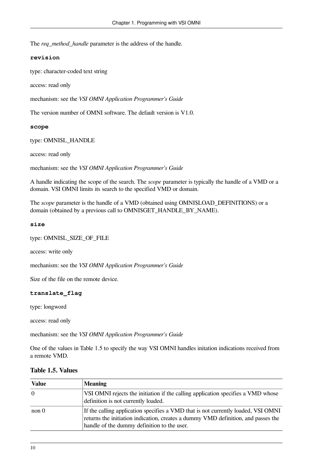The *req\_method\_handle* parameter is the address of the handle.

#### **revision**

type: character-coded text string

access: read only

mechanism: see the *VSI OMNI Application Programmer's Guide*

The version number of OMNI software. The default version is V1.0.

#### **scope**

type: OMNI\$L\_HANDLE

access: read only

mechanism: see the *VSI OMNI Application Programmer's Guide*

A handle indicating the scope of the search. The *scope* parameter is typically the handle of a VMD or a domain. VSI OMNI limits its search to the specified VMD or domain.

The *scope* parameter is the handle of a VMD (obtained using OMNI\$LOAD\_DEFINITIONS) or a domain (obtained by a previous call to OMNI\$GET\_HANDLE\_BY\_NAME).

#### **size**

type: OMNI\$L\_SIZE\_OF\_FILE

access: write only

mechanism: see the *VSI OMNI Application Programmer's Guide*

Size of the file on the remote device.

#### **translate\_flag**

type: longword

access: read only

mechanism: see the *VSI OMNI Application Programmer's Guide*

One of the values in [Table](#page-17-0) 1.5 to specify the way VSI OMNI handles initation indications received from a remote VMD.

| <b>Value</b>    | <b>Meaning</b>                                                                                                                                                                                                        |
|-----------------|-----------------------------------------------------------------------------------------------------------------------------------------------------------------------------------------------------------------------|
| $\vert 0 \vert$ | VSI OMNI rejects the initiation if the calling application specifies a VMD whose<br>definition is not currently loaded.                                                                                               |
| non 0           | If the calling application specifies a VMD that is not currently loaded, VSI OMNI<br>returns the initiation indication, creates a dummy VMD definition, and passes the<br>handle of the dummy definition to the user. |

#### <span id="page-17-0"></span>**Table 1.5. Values**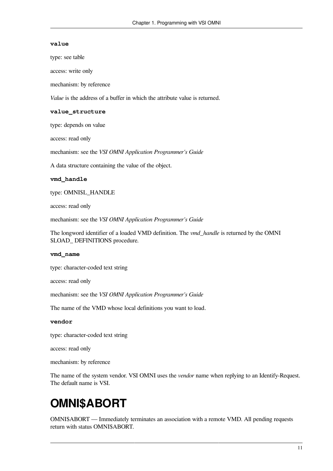#### **value**

type: see table

access: write only

mechanism: by reference

*Value* is the address of a buffer in which the attribute value is returned.

#### **value\_structure**

type: depends on value

access: read only

mechanism: see the *VSI OMNI Application Programmer's Guide*

A data structure containing the value of the object.

#### **vmd\_handle**

type: OMNI\$L\_HANDLE

access: read only

mechanism: see the *VSI OMNI Application Programmer's Guide*

The longword identifier of a loaded VMD definition. The *vmd\_handle* is returned by the OMNI \$LOAD\_ DEFINITIONS procedure.

#### **vmd\_name**

type: character-coded text string

access: read only

mechanism: see the *VSI OMNI Application Programmer's Guide*

The name of the VMD whose local definitions you want to load.

#### **vendor**

type: character-coded text string

access: read only

mechanism: by reference

The name of the system vendor. VSI OMNI uses the *vendor* name when replying to an Identify-Request. The default name is VSI.

## <span id="page-18-0"></span>**OMNI\$ABORT**

OMNI\$ABORT — Immediately terminates an association with a remote VMD. All pending requests return with status OMNI\$ABORT.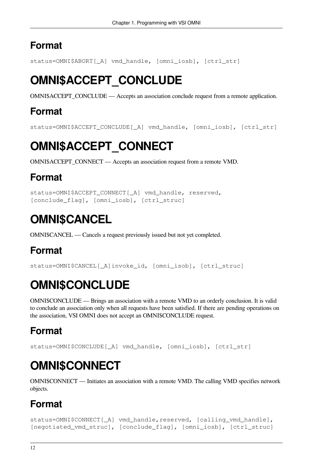<span id="page-19-0"></span>status=OMNI\$ABORT[\_A] vmd\_handle, [omni\_iosb], [ctrl\_str]

# **OMNI\$ACCEPT\_CONCLUDE**

OMNI\$ACCEPT\_CONCLUDE — Accepts an association conclude request from a remote application.

### **Format**

<span id="page-19-1"></span>status=OMNI\$ACCEPT\_CONCLUDE[\_A] vmd\_handle, [omni\_iosb], [ctrl\_str]

# **OMNI\$ACCEPT\_CONNECT**

OMNI\$ACCEPT\_CONNECT — Accepts an association request from a remote VMD.

### **Format**

```
status=OMNI$ACCEPT_CONNECT[_A] vmd_handle, reserved,
[conclude_flag], [omni_iosb], [ctrl_struc]
```
## <span id="page-19-2"></span>**OMNI\$CANCEL**

OMNI\$CANCEL — Cancels a request previously issued but not yet completed.

### **Format**

<span id="page-19-3"></span>status=OMNI\$CANCEL[\_A]invoke\_id, [omni\_isob], [ctrl\_struc]

# **OMNI\$CONCLUDE**

OMNI\$CONCLUDE — Brings an association with a remote VMD to an orderly conclusion. It is valid to conclude an association only when all requests have been satisfied. If there are pending operations on the association, VSI OMNI does not accept an OMNI\$CONCLUDE request.

## **Format**

<span id="page-19-4"></span>status=OMNI\$CONCLUDE[\_A] vmd\_handle, [omni\_iosb], [ctrl\_str]

# **OMNI\$CONNECT**

OMNI\$CONNECT — Initiates an association with a remote VMD. The calling VMD specifies network objects.

## **Format**

```
status=OMNI$CONNECT[_A] vmd_handle, reserved, [calling_vmd_handle],
[negotiated_vmd_struc], [conclude_flag], [omni_iosb], [ctrl_struc]
```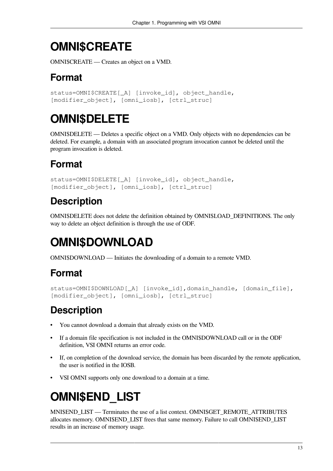# <span id="page-20-0"></span>**OMNI\$CREATE**

OMNI\$CREATE — Creates an object on a VMD.

## **Format**

```
status=OMNI$CREATE[ A] [invoke_id], object_handle,
[modifier_object], [omni_iosb], [ctrl_struc]
```
# <span id="page-20-1"></span>**OMNI\$DELETE**

OMNI\$DELETE — Deletes a specific object on a VMD. Only objects with no dependencies can be deleted. For example, a domain with an associated program invocation cannot be deleted until the program invocation is deleted.

## **Format**

```
status=OMNI$DELETE[_A] [invoke_id], object_handle,
[modifier_object], [omni_iosb], [ctrl_struc]
```
## **Description**

OMNI\$DELETE does not delete the definition obtained by OMNI\$LOAD\_DEFINITIONS. The only way to delete an object definition is through the use of ODF.

# <span id="page-20-2"></span>**OMNI\$DOWNLOAD**

OMNI\$DOWNLOAD — Initiates the downloading of a domain to a remote VMD.

## **Format**

```
status=OMNI$DOWNLOAD[_A] [invoke_id],domain_handle, [domain_file],
[modifier_object], [omni_iosb], [ctrl_struc]
```
## **Description**

- You cannot download a domain that already exists on the VMD.
- If a domain file specification is not included in the OMNI\$DOWNLOAD call or in the ODF definition, VSI OMNI returns an error code.
- If, on completion of the download service, the domain has been discarded by the remote application, the user is notified in the IOSB.
- <span id="page-20-3"></span>• VSI OMNI supports only one download to a domain at a time.

# **OMNI\$END\_LIST**

MNI\$END\_LIST — Terminates the use of a list context. OMNI\$GET\_REMOTE\_ATTRIBUTES allocates memory. OMNI\$END\_LIST frees that same memory. Failure to call OMNI\$END\_LIST results in an increase of memory usage.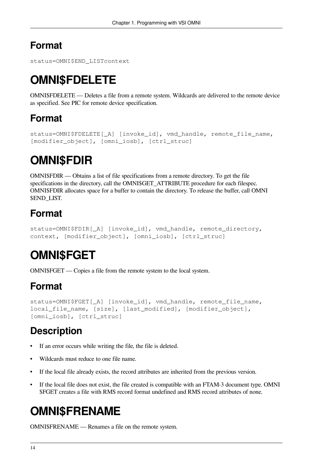```
status=OMNI$END_LISTcontext
```
# **OMNI\$FDELETE**

OMNI\$FDELETE — Deletes a file from a remote system. Wildcards are delivered to the remote device as specified. See PIC for remote device specification.

### **Format**

```
status=OMNI$FDELETE[_A] [invoke_id], vmd_handle, remote_file_name,
[modifier_object], [omni_iosb], [ctrl_struc]
```
## <span id="page-21-1"></span>**OMNI\$FDIR**

OMNI\$FDIR — Obtains a list of file specifications from a remote directory. To get the file specifications in the directory, call the OMNI\$GET ATTRIBUTE procedure for each filespec. OMNI\$FDIR allocates space for a buffer to contain the directory. To release the buffer, call OMNI \$END\_LIST.

## **Format**

```
status=OMNI$FDIR[_A] [invoke_id], vmd_handle, remote_directory,
context, [modifier_object], [omni_iosb], [ctrl_struc]
```
# <span id="page-21-2"></span>**OMNI\$FGET**

OMNI\$FGET — Copies a file from the remote system to the local system.

## **Format**

```
status=OMNI$FGET[_A] [invoke_id], vmd_handle, remote_file_name,
local_file_name, [size], [last_modified], [modifier_object],
[omni_iosb], [ctrl_struc]
```
## **Description**

- If an error occurs while writing the file, the file is deleted.
- Wildcards must reduce to one file name.
- If the local file already exists, the record attributes are inherited from the previous version.
- If the local file does not exist, the file created is compatible with an FTAM-3 document type. OMNI \$FGET creates a file with RMS record format undefined and RMS record attributes of none.

# <span id="page-21-3"></span>**OMNI\$FRENAME**

OMNI\$FRENAME — Renames a file on the remote system.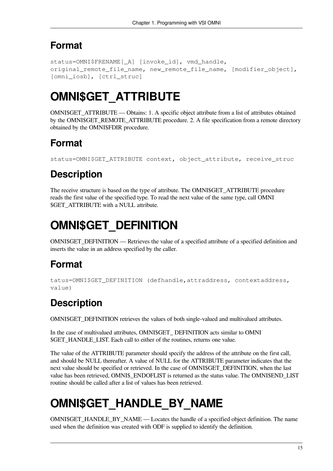```
status=OMNI$FRENAME[_A] [invoke_id], vmd_handle,
original_remote_file_name, new_remote_file_name, [modifier_object],
[omni_iosb], [ctrl_struc]
```
# <span id="page-22-0"></span>**OMNI\$GET\_ATTRIBUTE**

OMNI\$GET\_ATTRIBUTE — Obtains: 1. A specific object attribute from a list of attributes obtained by the OMNI\$GET\_REMOTE\_ATTRIBUTE procedure. 2. A file specification from a remote directory obtained by the OMNI\$FDIR procedure.

## **Format**

status=OMNI\$GET\_ATTRIBUTE context, object\_attribute, receive\_struc

## **Description**

The receive structure is based on the type of attribute. The OMNI\$GET\_ATTRIBUTE procedure reads the first value of the specified type. To read the next value of the same type, call OMNI \$GET\_ATTRIBUTE with a NULL attribute.

## <span id="page-22-1"></span>**OMNI\$GET\_DEFINITION**

OMNI\$GET\_DEFINITION — Retrieves the value of a specified attribute of a specified definition and inserts the value in an address specified by the caller.

### **Format**

```
tatus=OMNI$GET_DEFINITION (defhandle,attraddress, contextaddress,
value)
```
## **Description**

OMNI\$GET\_DEFINITION retrieves the values of both single-valued and multivalued attributes.

In the case of multivalued attributes, OMNI\$GET\_ DEFINITION acts similar to OMNI \$GET\_HANDLE\_LIST. Each call to either of the routines, returns one value.

The value of the ATTRIBUTE parameter should specify the address of the attribute on the first call, and should be NULL thereafter. A value of NULL for the ATTRIBUTE parameter indicates that the next value should be specified or retrieved. In the case of OMNI\$GET\_DEFINITION, when the last value has been retrieved, OMNI\$\_ENDOFLIST is returned as the status value. The OMNI\$END\_LIST routine should be called after a list of values has been retrieved.

# <span id="page-22-2"></span>**OMNI\$GET\_HANDLE\_BY\_NAME**

OMNI\$GET\_HANDLE\_BY\_NAME — Locates the handle of a specified object definition. The name used when the definition was created with ODF is supplied to identify the definition.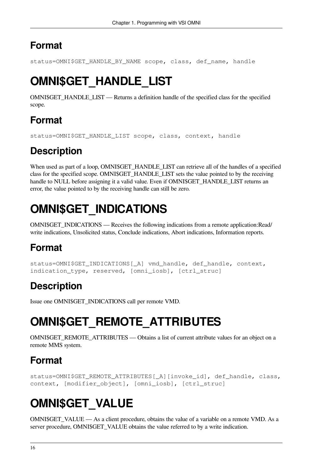<span id="page-23-0"></span>status=OMNI\$GET\_HANDLE\_BY\_NAME scope, class, def\_name, handle

# **OMNI\$GET\_HANDLE\_LIST**

OMNI\$GET\_HANDLE\_LIST — Returns a definition handle of the specified class for the specified scope.

### **Format**

status=OMNI\$GET\_HANDLE\_LIST scope, class, context, handle

## **Description**

When used as part of a loop, OMNI\$GET\_HANDLE\_LIST can retrieve all of the handles of a specified class for the specified scope. OMNI\$GET\_HANDLE\_LIST sets the value pointed to by the receiving handle to NULL before assigning it a valid value. Even if OMNI\$GET HANDLE LIST returns an error, the value pointed to by the receiving handle can still be zero.

# <span id="page-23-1"></span>**OMNI\$GET\_INDICATIONS**

OMNI\$GET\_INDICATIONS — Receives the following indications from a remote application:Read/ write indications, Unsolicited status, Conclude indications, Abort indications, Information reports.

## **Format**

```
status=OMNI$GET_INDICATIONS[_A] vmd_handle, def_handle, context,
indication_type, reserved, [omni_iosb], [ctrl_struc]
```
## **Description**

<span id="page-23-2"></span>Issue one OMNI\$GET\_INDICATIONS call per remote VMD.

# **OMNI\$GET\_REMOTE\_ATTRIBUTES**

OMNI\$GET\_REMOTE\_ATTRIBUTES — Obtains a list of current attribute values for an object on a remote MMS system.

## **Format**

```
status=OMNI$GET_REMOTE_ATTRIBUTES[_A][invoke_id], def_handle, class,
context, [modifier_object], [omni_iosb], [ctrl_struc]
```
# <span id="page-23-3"></span>**OMNI\$GET\_VALUE**

OMNI\$GET\_VALUE — As a client procedure, obtains the value of a variable on a remote VMD. As a server procedure, OMNI\$GET\_VALUE obtains the value referred to by a write indication.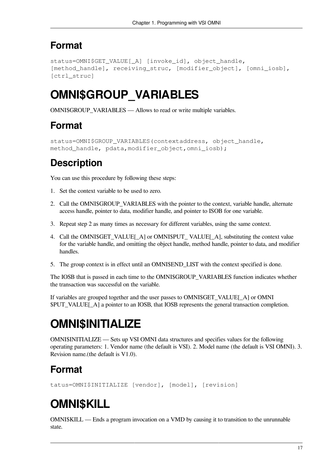```
status=OMNI$GET_VALUE[_A] [invoke_id], object_handle,
[method handle], receiving struc, [modifier object], [omni iosb],
[ctrl_struc]
```
## <span id="page-24-0"></span>**OMNI\$GROUP\_VARIABLES**

OMNI\$GROUP\_VARIABLES — Allows to read or write multiple variables.

### **Format**

```
status=OMNI$GROUP_VARIABLES(contextaddress, object_handle,
method handle, pdata, modifier object, omni iosb);
```
## **Description**

You can use this procedure by following these steps:

- 1. Set the context variable to be used to zero.
- 2. Call the OMNI\$GROUP VARIABLES with the pointer to the context, variable handle, alternate access handle, pointer to data, modifier handle, and pointer to ISOB for one variable.
- 3. Repeat step 2 as many times as necessary for different variables, using the same context.
- 4. Call the OMNI\$GET\_VALUE[\_A] or OMNI\$PUT\_VALUE[\_A], substituting the context value for the variable handle, and omitting the object handle, method handle, pointer to data, and modifier handles.
- 5. The group context is in effect until an OMNI\$END\_LIST with the context specified is done.

The IOSB that is passed in each time to the OMNI\$GROUP\_VARIABLES function indicates whether the transaction was successful on the variable.

If variables are grouped together and the user passes to OMNI\$GET\_VALUE[\_A] or OMNI \$PUT\_VALUE[A] a pointer to an IOSB, that IOSB represents the general transaction completion.

## <span id="page-24-1"></span>**OMNI\$INITIALIZE**

OMNI\$INITIALIZE — Sets up VSI OMNI data structures and specifies values for the following operating parameters: 1. Vendor name (the default is VSI). 2. Model name (the default is VSI OMNI). 3. Revision name.(the default is V1.0).

## **Format**

<span id="page-24-2"></span>tatus=OMNI\$INITIALIZE [vendor], [model], [revision]

# **OMNI\$KILL**

OMNI\$KILL — Ends a program invocation on a VMD by causing it to transition to the unrunnable state.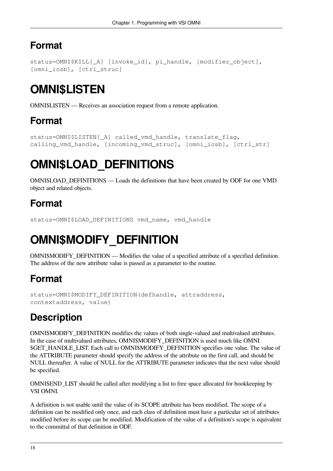```
status=OMNI$KILL[_A] [invoke_id], pi_handle, [modifier_object],
[omni_iosb], [ctrl_struc]
```
# <span id="page-25-0"></span>**OMNI\$LISTEN**

OMNI\$LISTEN — Receives an association request from a remote application.

### **Format**

```
status=OMNI$LISTEN[_A] called_vmd_handle, translate_flag,
calling_vmd_handle, [incoming_vmd_struc], [omni_iosb], [ctrl_str]
```
# <span id="page-25-1"></span>**OMNI\$LOAD\_DEFINITIONS**

OMNI\$LOAD\_DEFINITIONS — Loads the definitions that have been created by ODF for one VMD object and related objects.

### **Format**

```
status=OMNI$LOAD_DEFINITIONS vmd_name, vmd_handle
```
# **OMNI\$MODIFY\_DEFINITION**

OMNI\$MODIFY DEFINITION — Modifies the value of a specified attribute of a specified definition. The address of the new attribute value is passed as a parameter to the routine.

### **Format**

```
status=OMNI$MODIFY_DEFINITION(defhandle, attraddress,
contextaddress, value)
```
## **Description**

OMNI\$MODIFY\_DEFINITION modifies the values of both single-valued and multivalued attributes. In the case of multivalued attributes, OMNI\$MODIFY\_DEFINITION is used much like OMNI \$GET\_HANDLE\_LIST. Each call to OMNI\$MODIFY\_DEFINITION specifies one value. The value of the ATTRIBUTE parameter should specify the address of the attribute on the first call, and should be NULL thereafter. A value of NULL for the ATTRIBUTE parameter indicates that the next value should be specified.

OMNI\$END\_LIST should be called after modifying a list to free space allocated for bookkeeping by VSI OMNI.

A definition is not usable until the value of its SCOPE attribute has been modified. The scope of a definition can be modified only once, and each class of definition must have a particular set of attributes modified before its scope can be modified. Modification of the value of a definition's scope is equivalent to the committal of that definition in ODF.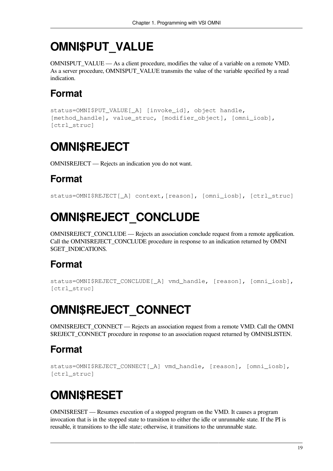## <span id="page-26-0"></span>**OMNI\$PUT\_VALUE**

OMNI\$PUT\_VALUE — As a client procedure, modifies the value of a variable on a remote VMD. As a server procedure, OMNI\$PUT\_VALUE transmits the value of the variable specified by a read indication.

### **Format**

```
status=OMNI$PUT_VALUE[_A] [invoke_id], object handle,
[method_handle], value_struc, [modifier_object], [omni_iosb],
[ctrl_struc]
```
## <span id="page-26-1"></span>**OMNI\$REJECT**

OMNI\$REJECT — Rejects an indication you do not want.

### **Format**

```
status=OMNI$REJECT[_A] context,[reason], [omni_iosb], [ctrl_struc]
```
# **OMNI\$REJECT\_CONCLUDE**

OMNI\$REJECT\_CONCLUDE — Rejects an association conclude request from a remote application. Call the OMNI\$REJECT\_CONCLUDE procedure in response to an indication returned by OMNI \$GET\_INDICATIONS.

### **Format**

```
status=OMNI$REJECT_CONCLUDE[_A] vmd_handle, [reason], [omni_iosb],
[ctrl_struc]
```
# <span id="page-26-3"></span>**OMNI\$REJECT\_CONNECT**

OMNI\$REJECT\_CONNECT — Rejects an association request from a remote VMD. Call the OMNI \$REJECT\_CONNECT procedure in response to an association request returned by OMNI\$LISTEN.

### **Format**

```
status=OMNI$REJECT_CONNECT[_A] vmd_handle, [reason], [omni_iosb],
[ctrl_struc]
```
# <span id="page-26-4"></span>**OMNI\$RESET**

OMNI\$RESET — Resumes execution of a stopped program on the VMD. It causes a program invocation that is in the stopped state to transition to either the idle or unrunnable state. If the PI is reusable, it transitions to the idle state; otherwise, it transitions to the unrunnable state.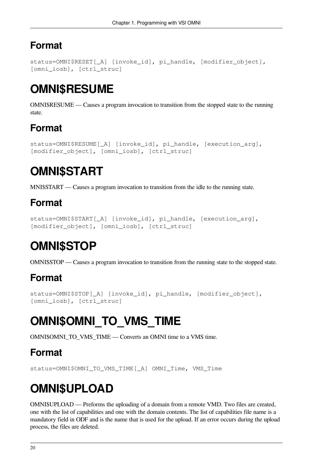```
status=OMNI$RESET[_A] [invoke_id], pi_handle, [modifier_object],
[omni_iosb], [ctrl_struc]
```
## <span id="page-27-0"></span>**OMNI\$RESUME**

OMNI\$RESUME — Causes a program invocation to transition from the stopped state to the running state.

## **Format**

```
status=OMNI$RESUME[_A] [invoke_id], pi_handle, [execution_arg],
[modifier_object], [omni_iosb], [ctrl_struc]
```
# <span id="page-27-1"></span>**OMNI\$START**

MNI\$START — Causes a program invocation to transition from the idle to the running state.

## **Format**

```
status=OMNI$START[_A] [invoke_id], pi_handle, [execution_arg],
[modifier_object], [omni_iosb], [ctrl_struc]
```
# <span id="page-27-2"></span>**OMNI\$STOP**

OMNI\$STOP — Causes a program invocation to transition from the running state to the stopped state.

### **Format**

```
status=OMNI$STOP[_A] [invoke_id], pi_handle, [modifier_object],
[omni_iosb], [ctrl_struc]
```
# <span id="page-27-3"></span>**OMNI\$OMNI\_TO\_VMS\_TIME**

OMNI\$OMNI\_TO\_VMS\_TIME — Converts an OMNI time to a VMS time.

## **Format**

<span id="page-27-4"></span>status=OMNI\$OMNI\_TO\_VMS\_TIME[\_A] OMNI\_Time, VMS\_Time

# **OMNI\$UPLOAD**

OMNI\$UPLOAD — Preforms the uploading of a domain from a remote VMD. Two files are created, one with the list of capabilities and one with the domain contents. The list of capabilities file name is a mandatory field in ODF and is the name that is used for the upload. If an error occurs during the upload process, the files are deleted.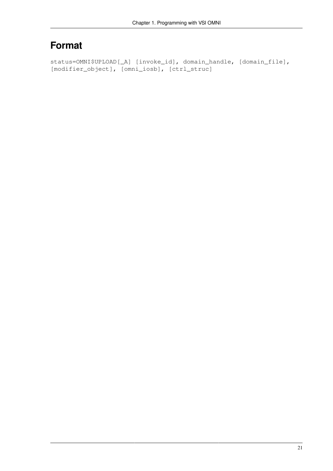```
status=OMNI$UPLOAD[_A] [invoke_id], domain_handle, [domain_file],
[modifier_object], [omni_iosb], [ctrl_struc]
```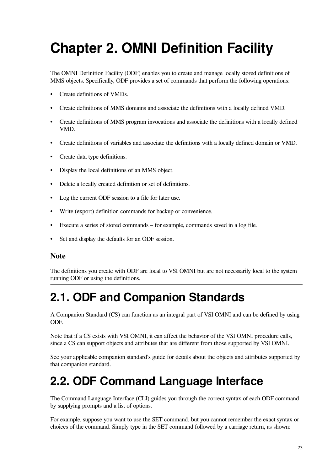# <span id="page-30-0"></span>**Chapter 2. OMNI Definition Facility**

The OMNI Definition Facility (ODF) enables you to create and manage locally stored definitions of MMS objects. Specifically, ODF provides a set of commands that perform the following operations:

- Create definitions of VMDs.
- Create definitions of MMS domains and associate the definitions with a locally defined VMD.
- Create definitions of MMS program invocations and associate the definitions with a locally defined VMD.
- Create definitions of variables and associate the definitions with a locally defined domain or VMD.
- Create data type definitions.
- Display the local definitions of an MMS object.
- Delete a locally created definition or set of definitions.
- Log the current ODF session to a file for later use.
- Write (export) definition commands for backup or convenience.
- Execute a series of stored commands for example, commands saved in a log file.
- Set and display the defaults for an ODF session.

#### **Note**

The definitions you create with ODF are local to VSI OMNI but are not necessarily local to the system running ODF or using the definitions.

## <span id="page-30-1"></span>**2.1. ODF and Companion Standards**

A Companion Standard (CS) can function as an integral part of VSI OMNI and can be defined by using ODF.

Note that if a CS exists with VSI OMNI, it can affect the behavior of the VSI OMNI procedure calls, since a CS can support objects and attributes that are different from those supported by VSI OMNI.

See your applicable companion standard's guide for details about the objects and attributes supported by that companion standard.

## <span id="page-30-2"></span>**2.2. ODF Command Language Interface**

The Command Language Interface (CLI) guides you through the correct syntax of each ODF command by supplying prompts and a list of options.

For example, suppose you want to use the SET command, but you cannot remember the exact syntax or choices of the command. Simply type in the SET command followed by a carriage return, as shown: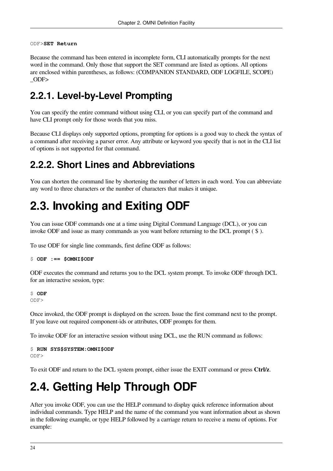#### ODF>**SET Return**

Because the command has been entered in incomplete form, CLI automatically prompts for the next word in the command. Only those that support the SET command are listed as options. All options are enclosed within parentheses, as follows: (COMPANION STANDARD, ODF LOGFILE, SCOPE) \_ODF>

### <span id="page-31-0"></span>**2.2.1. Level-by-Level Prompting**

You can specify the entire command without using CLI, or you can specify part of the command and have CLI prompt only for those words that you miss.

Because CLI displays only supported options, prompting for options is a good way to check the syntax of a command after receiving a parser error. Any attribute or keyword you specify that is not in the CLI list of options is not supported for that command.

### <span id="page-31-1"></span>**2.2.2. Short Lines and Abbreviations**

You can shorten the command line by shortening the number of letters in each word. You can abbreviate any word to three characters or the number of characters that makes it unique.

## <span id="page-31-2"></span>**2.3. Invoking and Exiting ODF**

You can issue ODF commands one at a time using Digital Command Language (DCL), or you can invoke ODF and issue as many commands as you want before returning to the DCL prompt ( \$ ).

To use ODF for single line commands, first define ODF as follows:

```
$ ODF :== $OMNI$ODF
```
ODF executes the command and returns you to the DCL system prompt. To invoke ODF through DCL for an interactive session, type:

\$ **ODF** ODF>

Once invoked, the ODF prompt is displayed on the screen. Issue the first command next to the prompt. If you leave out required component-ids or attributes, ODF prompts for them.

To invoke ODF for an interactive session without using DCL, use the RUN command as follows:

```
$ RUN SYS$SYSTEM:OMNI$ODF
ODF>
```
To exit ODF and return to the DCL system prompt, either issue the EXIT command or press **Ctrl/z**.

## <span id="page-31-3"></span>**2.4. Getting Help Through ODF**

After you invoke ODF, you can use the HELP command to display quick reference information about individual commands. Type HELP and the name of the command you want information about as shown in the following example, or type HELP followed by a carriage return to receive a menu of options. For example: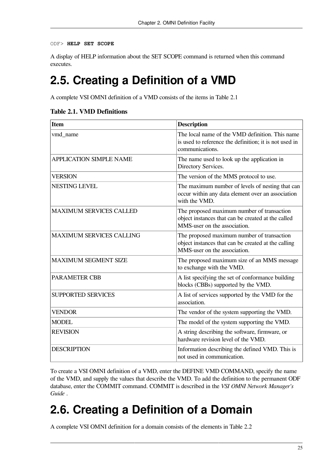```
ODF> HELP SET SCOPE
```
A display of HELP information about the SET SCOPE command is returned when this command executes.

## <span id="page-32-0"></span>**2.5. Creating a Definition of a VMD**

A complete VSI OMNI definition of a VMD consists of the items in [Table](#page-32-2) 2.1

| <b>Item</b>                     | <b>Description</b>                                                                                                                |
|---------------------------------|-----------------------------------------------------------------------------------------------------------------------------------|
| vmd_name                        | The local name of the VMD definition. This name<br>is used to reference the definition; it is not used in<br>communications.      |
| <b>APPLICATION SIMPLE NAME</b>  | The name used to look up the application in<br>Directory Services.                                                                |
| <b>VERSION</b>                  | The version of the MMS protocol to use.                                                                                           |
| <b>NESTING LEVEL</b>            | The maximum number of levels of nesting that can<br>occur within any data element over an association<br>with the VMD.            |
| <b>MAXIMUM SERVICES CALLED</b>  | The proposed maximum number of transaction<br>object instances that can be created at the called<br>MMS-user on the association.  |
| <b>MAXIMUM SERVICES CALLING</b> | The proposed maximum number of transaction<br>object instances that can be created at the calling<br>MMS-user on the association. |
| <b>MAXIMUM SEGMENT SIZE</b>     | The proposed maximum size of an MMS message<br>to exchange with the VMD.                                                          |
| <b>PARAMETER CBB</b>            | A list specifying the set of conformance building<br>blocks (CBBs) supported by the VMD.                                          |
| <b>SUPPORTED SERVICES</b>       | A list of services supported by the VMD for the<br>association.                                                                   |
| <b>VENDOR</b>                   | The vendor of the system supporting the VMD.                                                                                      |
| <b>MODEL</b>                    | The model of the system supporting the VMD.                                                                                       |
| <b>REVISION</b>                 | A string describing the software, firmware, or<br>hardware revision level of the VMD.                                             |
| <b>DESCRIPTION</b>              | Information describing the defined VMD. This is<br>not used in communication.                                                     |

<span id="page-32-2"></span>**Table 2.1. VMD Definitions**

To create a VSI OMNI definition of a VMD, enter the DEFINE VMD COMMAND, specify the name of the VMD, and supply the values that describe the VMD. To add the definition to the permanent ODF database, enter the COMMIT command. COMMIT is described in the *VSI OMNI Network Manager's Guide* .

# <span id="page-32-1"></span>**2.6. Creating a Definition of a Domain**

A complete VSI OMNI definition for a domain consists of the elements in [Table](#page-33-1) 2.2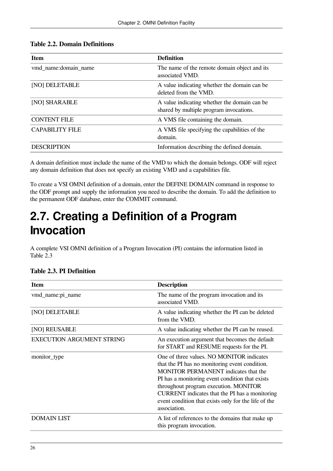<span id="page-33-1"></span>

| <b>Item</b>            | <b>Definition</b>                                                                       |
|------------------------|-----------------------------------------------------------------------------------------|
| vmd name:domain name   | The name of the remote domain object and its<br>associated VMD.                         |
| [NO] DELETABLE         | A value indicating whether the domain can be<br>deleted from the VMD.                   |
| [NO] SHARABLE          | A value indicating whether the domain can be<br>shared by multiple program invocations. |
| <b>CONTENT FILE</b>    | A VMS file containing the domain.                                                       |
| <b>CAPABILITY FILE</b> | A VMS file specifying the capabilities of the<br>domain.                                |
| <b>DESCRIPTION</b>     | Information describing the defined domain.                                              |

A domain definition must include the name of the VMD to which the domain belongs. ODF will reject any domain definition that does not specify an existing VMD and a capabilities file.

To create a VSI OMNI definition of a domain, enter the DEFINE DOMAIN command in response to the ODF prompt and supply the information you need to describe the domain. To add the definition to the permanent ODF database, enter the COMMIT command.

## <span id="page-33-0"></span>**2.7. Creating a Definition of a Program Invocation**

A complete VSI OMNI definition of a Program Invocation (PI) contains the information listed in [Table](#page-33-2) 2.3

| <b>Item</b>                      | <b>Description</b>                                                                                                                                                                                                                                                                                                                                               |
|----------------------------------|------------------------------------------------------------------------------------------------------------------------------------------------------------------------------------------------------------------------------------------------------------------------------------------------------------------------------------------------------------------|
| vmd_name:pi_name                 | The name of the program invocation and its<br>associated VMD.                                                                                                                                                                                                                                                                                                    |
| [NO] DELETABLE                   | A value indicating whether the PI can be deleted<br>from the VMD.                                                                                                                                                                                                                                                                                                |
| [NO] REUSABLE                    | A value indicating whether the PI can be reused.                                                                                                                                                                                                                                                                                                                 |
| <b>EXECUTION ARGUMENT STRING</b> | An execution argument that becomes the default<br>for START and RESUME requests for the PI.                                                                                                                                                                                                                                                                      |
| monitor_type                     | One of three values. NO MONITOR indicates<br>that the PI has no monitoring event condition.<br><b>MONITOR PERMANENT</b> indicates that the<br>PI has a monitoring event condition that exists<br>throughout program execution. MONITOR<br>CURRENT indicates that the PI has a monitoring<br>event condition that exists only for the life of the<br>association. |
| <b>DOMAIN LIST</b>               | A list of references to the domains that make up<br>this program invocation.                                                                                                                                                                                                                                                                                     |

#### <span id="page-33-2"></span>**Table 2.3. PI Definition**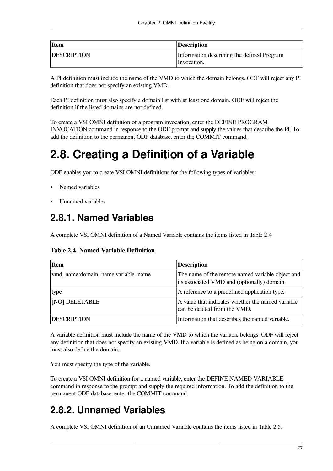| <b>Item</b>        | <b>Description</b>                         |
|--------------------|--------------------------------------------|
| <b>DESCRIPTION</b> | Information describing the defined Program |
|                    | Invocation.                                |

A PI definition must include the name of the VMD to which the domain belongs. ODF will reject any PI definition that does not specify an existing VMD.

Each PI definition must also specify a domain list with at least one domain. ODF will reject the definition if the listed domains are not defined.

To create a VSI OMNI definition of a program invocation, enter the DEFINE PROGRAM INVOCATION command in response to the ODF prompt and supply the values that describe the PI. To add the definition to the permanent ODF database, enter the COMMIT command.

## <span id="page-34-0"></span>**2.8. Creating a Definition of a Variable**

ODF enables you to create VSI OMNI definitions for the following types of variables:

- Named variables
- <span id="page-34-1"></span>Unnamed variables

### **2.8.1. Named Variables**

<span id="page-34-3"></span>A complete VSI OMNI definition of a Named Variable contains the items listed in [Table](#page-34-3) 2.4

**Table 2.4. Named Variable Definition**

| <b>Item</b>                        | <b>Description</b>                                                                              |
|------------------------------------|-------------------------------------------------------------------------------------------------|
| vmd name:domain name.variable name | The name of the remote named variable object and<br>its associated VMD and (optionally) domain. |
| type                               | A reference to a predefined application type.                                                   |
| [NO] DELETABLE                     | A value that indicates whether the named variable<br>can be deleted from the VMD.               |
| <b>DESCRIPTION</b>                 | Information that describes the named variable.                                                  |

A variable definition must include the name of the VMD to which the variable belongs. ODF will reject any definition that does not specify an existing VMD. If a variable is defined as being on a domain, you must also define the domain.

You must specify the type of the variable.

To create a VSI OMNI definition for a named variable, enter the DEFINE NAMED VARIABLE command in response to the prompt and supply the required information. To add the definition to the permanent ODF database, enter the COMMIT command.

### <span id="page-34-2"></span>**2.8.2. Unnamed Variables**

A complete VSI OMNI definition of an Unnamed Variable contains the items listed in [Table](#page-35-2) 2.5.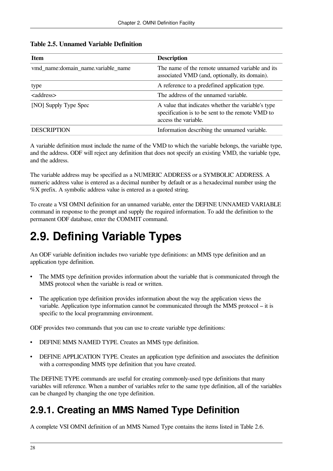<span id="page-35-2"></span>

| <b>Table 2.5. Unnamed Variable Definition</b> |  |  |
|-----------------------------------------------|--|--|
|-----------------------------------------------|--|--|

| <b>Item</b>                        | <b>Description</b>                                                                                                             |
|------------------------------------|--------------------------------------------------------------------------------------------------------------------------------|
| vmd_name:domain_name.variable_name | The name of the remote unnamed variable and its<br>associated VMD (and, optionally, its domain).                               |
| type                               | A reference to a predefined application type.                                                                                  |
| <address></address>                | The address of the unnamed variable.                                                                                           |
| [NO] Supply Type Spec              | A value that indicates whether the variable's type<br>specification is to be sent to the remote VMD to<br>access the variable. |
| <b>DESCRIPTION</b>                 | Information describing the unnamed variable.                                                                                   |

A variable definition must include the name of the VMD to which the variable belongs, the variable type, and the address. ODF will reject any definition that does not specify an existing VMD, the variable type, and the address.

The variable address may be specified as a NUMERIC ADDRESS or a SYMBOLIC ADDRESS. A numeric address value is entered as a decimal number by default or as a hexadecimal number using the %X prefix. A symbolic address value is entered as a quoted string.

To create a VSI OMNI definition for an unnamed variable, enter the DEFINE UNNAMED VARIABLE command in response to the prompt and supply the required information. To add the definition to the permanent ODF database, enter the COMMIT command.

# <span id="page-35-0"></span>**2.9. Defining Variable Types**

An ODF variable definition includes two variable type definitions: an MMS type definition and an application type definition.

- The MMS type definition provides information about the variable that is communicated through the MMS protocol when the variable is read or written.
- The application type definition provides information about the way the application views the variable. Application type information cannot be communicated through the MMS protocol – it is specific to the local programming environment.

ODF provides two commands that you can use to create variable type definitions:

- DEFINE MMS NAMED TYPE. Creates an MMS type definition.
- DEFINE APPLICATION TYPE. Creates an application type definition and associates the definition with a corresponding MMS type definition that you have created.

The DEFINE TYPE commands are useful for creating commonly-used type definitions that many variables will reference. When a number of variables refer to the same type definition, all of the variables can be changed by changing the one type definition.

### <span id="page-35-1"></span>**2.9.1. Creating an MMS Named Type Definition**

A complete VSI OMNI definition of an MMS Named Type contains the items listed in [Table](#page-36-1) 2.6.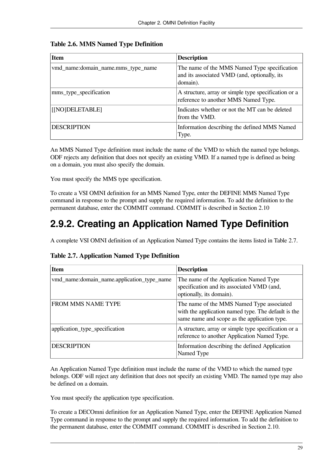| <b>Item</b>                        | <b>Description</b>                                                                                       |
|------------------------------------|----------------------------------------------------------------------------------------------------------|
| vmd_name:domain_name.mms_type_name | The name of the MMS Named Type specification<br>and its associated VMD (and, optionally, its<br>domain). |
| mms_type_specification             | A structure, array or simple type specification or a<br>reference to another MMS Named Type.             |
| [[NO]DELETABLE]                    | Indicates whether or not the MT can be deleted<br>from the VMD.                                          |
| <b>DESCRIPTION</b>                 | Information describing the defined MMS Named<br>Type.                                                    |

#### <span id="page-36-1"></span>**Table 2.6. MMS Named Type Definition**

An MMS Named Type definition must include the name of the VMD to which the named type belongs. ODF rejects any definition that does not specify an existing VMD. If a named type is defined as being on a domain, you must also specify the domain.

You must specify the MMS type specification.

To create a VSI OMNI definition for an MMS Named Type, enter the DEFINE MMS Named Type command in response to the prompt and supply the required information. To add the definition to the permanent database, enter the COMMIT command. COMMIT is described in [Section](#page-37-1) 2.10

## <span id="page-36-0"></span>**2.9.2. Creating an Application Named Type Definition**

<span id="page-36-2"></span>A complete VSI OMNI definition of an Application Named Type contains the items listed in [Table](#page-36-2) 2.7.

| <b>Item</b>                                | <b>Description</b>                                                                                                                               |
|--------------------------------------------|--------------------------------------------------------------------------------------------------------------------------------------------------|
| vmd_name:domain_name.application_type_name | The name of the Application Named Type<br>specification and its associated VMD (and,<br>optionally, its domain).                                 |
| <b>FROM MMS NAME TYPE</b>                  | The name of the MMS Named Type associated<br>with the application named type. The default is the<br>same name and scope as the application type. |
| application_type_specification             | A structure, array or simple type specification or a<br>reference to another Application Named Type.                                             |
| <b>DESCRIPTION</b>                         | Information describing the defined Application<br>Named Type                                                                                     |

**Table 2.7. Application Named Type Definition**

An Application Named Type definition must include the name of the VMD to which the named type belongs. ODF will reject any definition that does not specify an existing VMD. The named type may also be defined on a domain.

You must specify the application type specification.

To create a DECOmni definition for an Application Named Type, enter the DEFINE Application Named Type command in response to the prompt and supply the required information. To add the definition to the permanent database, enter the COMMIT command. COMMIT is described in [Section](#page-37-1) 2.10.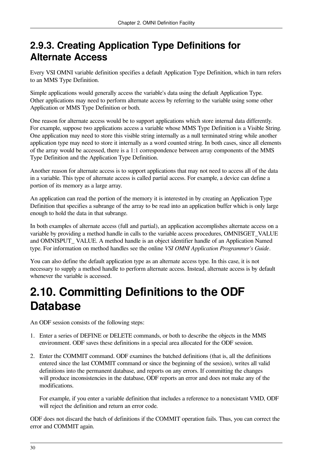### <span id="page-37-0"></span>**2.9.3. Creating Application Type Definitions for Alternate Access**

Every VSI OMNI variable definition specifies a default Application Type Definition, which in turn refers to an MMS Type Definition.

Simple applications would generally access the variable's data using the default Application Type. Other applications may need to perform alternate access by referring to the variable using some other Application or MMS Type Definition or both.

One reason for alternate access would be to support applications which store internal data differently. For example, suppose two applications access a variable whose MMS Type Definition is a Visible String. One application may need to store this visible string internally as a null terminated string while another application type may need to store it internally as a word counted string. In both cases, since all elements of the array would be accessed, there is a 1:1 correspondence between array components of the MMS Type Definition and the Application Type Definition.

Another reason for alternate access is to support applications that may not need to access all of the data in a variable. This type of alternate access is called partial access. For example, a device can define a portion of its memory as a large array.

An application can read the portion of the memory it is interested in by creating an Application Type Definition that specifies a subrange of the array to be read into an application buffer which is only large enough to hold the data in that subrange.

In both examples of alternate access (full and partial), an application accomplishes alternate access on a variable by providing a method handle in calls to the variable access procedures, OMNI\$GET\_VALUE and OMNI\$PUT\_ VALUE. A method handle is an object identifier handle of an Application Named type. For information on method handles see the online *VSI OMNI Application Programmer's Guide*.

You can also define the default application type as an alternate access type. In this case, it is not necessary to supply a method handle to perform alternate access. Instead, alternate access is by default whenever the variable is accessed.

## <span id="page-37-1"></span>**2.10. Committing Definitions to the ODF Database**

An ODF session consists of the following steps:

- 1. Enter a series of DEFINE or DELETE commands, or both to describe the objects in the MMS environment. ODF saves these definitions in a special area allocated for the ODF session.
- 2. Enter the COMMIT command. ODF examines the batched definitions (that is, all the definitions entered since the last COMMIT command or since the beginning of the session), writes all valid definitions into the permanent database, and reports on any errors. If committing the changes will produce inconsistencies in the database, ODF reports an error and does not make any of the modifications.

For example, if you enter a variable definition that includes a reference to a nonexistant VMD, ODF will reject the definition and return an error code.

ODF does not discard the batch of definitions if the COMMIT operation fails. Thus, you can correct the error and COMMIT again.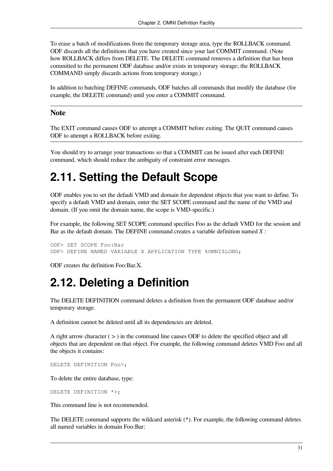To erase a batch of modifications from the temporary storage area, type the ROLLBACK command. ODF discards all the definitions that you have created since your last COMMIT command. (Note how ROLLBACK differs from DELETE. The DELETE command removes a definition that has been committed to the permanent ODF database and/or exists in temporary storage; the ROLLBACK COMMAND simply discards actions from temporary storage.)

In addition to batching DEFINE commands, ODF batches all commands that modify the database (for example, the DELETE command) until you enter a COMMIT command.

#### **Note**

The EXIT command causes ODF to attempt a COMMIT before exiting. The QUIT command causes ODF to attempt a ROLLBACK before exiting.

You should try to arrange your transactions so that a COMMIT can be issued after each DEFINE command, which should reduce the ambiguity of constraint error messages.

## <span id="page-38-0"></span>**2.11. Setting the Default Scope**

ODF enables you to set the default VMD and domain for dependent objects that you want to define. To specify a default VMD and domain, enter the SET SCOPE command and the name of the VMD and domain. (If you omit the domain name, the scope is VMD-specific.)

For example, the following SET SCOPE command specifies Foo as the default VMD for the session and Bar as the default domain. The DEFINE command creates a variable definition named *X* :

ODF> SET SCOPE Foo:Bar ODF> DEFINE NAMED VARIABLE X APPLICATION TYPE %OMNI\$LONG;

<span id="page-38-1"></span>ODF creates the definition Foo:Bar.X.

## **2.12. Deleting a Definition**

The DELETE DEFINITION command deletes a definition from the permanent ODF database and/or temporary storage.

A definition cannot be deleted until all its dependencies are deleted.

A right arrow character ( > ) in the command line causes ODF to delete the specified object and all objects that are dependent on that object. For example, the following command deletes VMD Foo and all the objects it contains:

DELETE DEFINITION Foo>;

To delete the entire database, type:

DELETE DEFINITION \*>;

This command line is not recommended.

The DELETE command supports the wildcard asterisk (\*). For example, the following command deletes all named variables in domain Foo:Bar: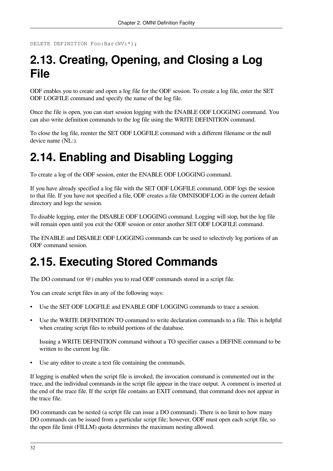```
DELETE DEFINITION Foo:Bar(NV:*);
```
## <span id="page-39-0"></span>**2.13. Creating, Opening, and Closing a Log File**

ODF enables you to create and open a log file for the ODF session. To create a log file, enter the SET ODF LOGFILE command and specify the name of the log file.

Once the file is open, you can start session logging with the ENABLE ODF LOGGING command. You can also write definition commands to the log file using the WRITE DEFINITION command.

To close the log file, reenter the SET ODF LOGFILE command with a different filename or the null device name (NL:).

## <span id="page-39-1"></span>**2.14. Enabling and Disabling Logging**

To create a log of the ODF session, enter the ENABLE ODF LOGGING command.

If you have already specified a log file with the SET ODF LOGFILE command, ODF logs the session to that file. If you have not specified a file, ODF creates a file OMNI\$ODF.LOG in the current default directory and logs the session.

To disable logging, enter the DISABLE ODF LOGGING command. Logging will stop, but the log file will remain open until you exit the ODF session or enter another SET ODF LOGFILE command.

The ENABLE and DISABLE ODF LOGGING commands can be used to selectively log portions of an ODF command session.

## <span id="page-39-2"></span>**2.15. Executing Stored Commands**

The DO command (or @) enables you to read ODF commands stored in a script file.

You can create script files in any of the following ways:

- Use the SET ODF LOGFILE and ENABLE ODF LOGGING commands to trace a session.
- Use the WRITE DEFINITION TO command to write declaration commands to a file. This is helpful when creating script files to rebuild portions of the database.

Issuing a WRITE DEFINITION command without a TO specifier causes a DEFINE command to be written to the current log file.

• Use any editor to create a text file containing the commands.

If logging is enabled when the script file is invoked, the invocation command is commented out in the trace, and the individual commands in the script file appear in the trace output. A comment is inserted at the end of the trace file. If the script file contains an EXIT command, that command does not appear in the trace file.

DO commands can be nested (a script file can issue a DO command). There is no limit to how many DO commands can be issued from a particular script file; however, ODF must open each script file, so the open file limit (FILLM) quota determines the maximum nesting allowed.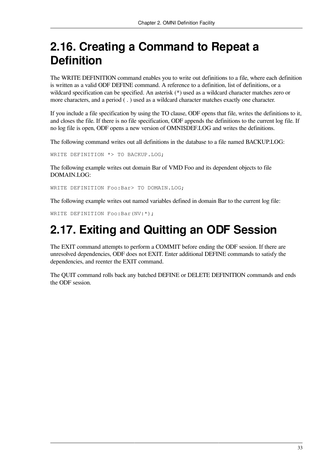## <span id="page-40-0"></span>**2.16. Creating a Command to Repeat a Definition**

The WRITE DEFINITION command enables you to write out definitions to a file, where each definition is written as a valid ODF DEFINE command. A reference to a definition, list of definitions, or a wildcard specification can be specified. An asterisk (\*) used as a wildcard character matches zero or more characters, and a period ( . ) used as a wildcard character matches exactly one character.

If you include a file specification by using the TO clause, ODF opens that file, writes the definitions to it, and closes the file. If there is no file specification, ODF appends the definitions to the current log file. If no log file is open, ODF opens a new version of OMNI\$DEF.LOG and writes the definitions.

The following command writes out all definitions in the database to a file named BACKUP.LOG:

WRITE DEFINITION \*> TO BACKUP.LOG;

The following example writes out domain Bar of VMD Foo and its dependent objects to file DOMAIN.LOG:

WRITE DEFINITION Foo:Bar> TO DOMAIN.LOG;

The following example writes out named variables defined in domain Bar to the current log file:

<span id="page-40-1"></span>WRITE DEFINITION Foo:Bar(NV:\*);

## **2.17. Exiting and Quitting an ODF Session**

The EXIT command attempts to perform a COMMIT before ending the ODF session. If there are unresolved dependencies, ODF does not EXIT. Enter additional DEFINE commands to satisfy the dependencies, and reenter the EXIT command.

The QUIT command rolls back any batched DEFINE or DELETE DEFINITION commands and ends the ODF session.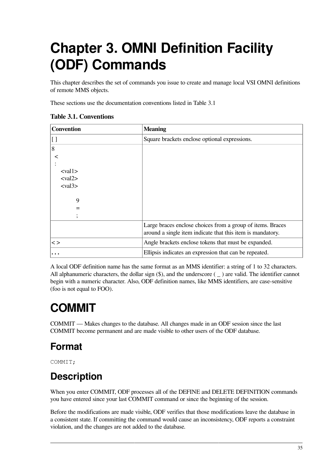# <span id="page-42-0"></span>**Chapter 3. OMNI Definition Facility (ODF) Commands**

This chapter describes the set of commands you issue to create and manage local VSI OMNI definitions of remote MMS objects.

These sections use the documentation conventions listed in [Table](#page-42-2) 3.1

| <b>Convention</b>                                                             | <b>Meaning</b>                                                                                                           |
|-------------------------------------------------------------------------------|--------------------------------------------------------------------------------------------------------------------------|
| $\left[ \ \right]$                                                            | Square brackets enclose optional expressions.                                                                            |
| 8                                                                             |                                                                                                                          |
|                                                                               |                                                                                                                          |
| $<$ val $1>$<br>$\langle \text{val2} \rangle$<br>$\langle \text{val3}\rangle$ |                                                                                                                          |
| 9                                                                             |                                                                                                                          |
| $=$                                                                           |                                                                                                                          |
|                                                                               |                                                                                                                          |
|                                                                               | Large braces enclose choices from a group of items. Braces<br>around a single item indicate that this item is mandatory. |
| $\lt$                                                                         | Angle brackets enclose tokens that must be expanded.                                                                     |
| $\cdots$                                                                      | Ellipsis indicates an expression that can be repeated.                                                                   |

<span id="page-42-2"></span>**Table 3.1. Conventions**

A local ODF definition name has the same format as an MMS identifier: a string of 1 to 32 characters. All alphanumeric characters, the dollar sign  $(\$)$ , and the underscore  $(\_)$  are valid. The identifier cannot begin with a numeric character. Also, ODF definition names, like MMS identifiers, are case-sensitive (foo is not equal to FOO).

## <span id="page-42-1"></span>**COMMIT**

COMMIT — Makes changes to the database. All changes made in an ODF session since the last COMMIT become permanent and are made visible to other users of the ODF database.

## **Format**

COMMIT;

## **Description**

When you enter COMMIT, ODF processes all of the DEFINE and DELETE DEFINITION commands you have entered since your last COMMIT command or since the beginning of the session.

Before the modifications are made visible, ODF verifies that those modifications leave the database in a consistent state. If committing the command would cause an inconsistency, ODF reports a constraint violation, and the changes are not added to the database.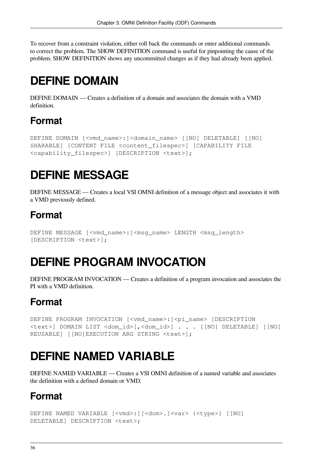To recover from a constraint violation, either roll back the commands or enter additional commands to correct the problem. The SHOW DEFINITION command is useful for pinpointing the cause of the problem. SHOW DEFINITION shows any uncommitted changes as if they had already been applied.

## <span id="page-43-0"></span>**DEFINE DOMAIN**

DEFINE DOMAIN — Creates a definition of a domain and associates the domain with a VMD definition.

### **Format**

```
DEFINE DOMAIN [<vmd name>:]<domain name> [[NO] DELETABLE] [[NO]
SHARABLE] [CONTENT FILE <content_filespec>] [CAPABILITY FILE
<capability_filespec>] [DESCRIPTION <text>];
```
# <span id="page-43-1"></span>**DEFINE MESSAGE**

DEFINE MESSAGE — Creates a local VSI OMNI definition of a message object and associates it with a VMD previously defined.

### **Format**

```
DEFINE MESSAGE [<vmd_name>:]<msg_name> LENGTH <msg_length>
[DESCRIPTION <text>];
```
## <span id="page-43-2"></span>**DEFINE PROGRAM INVOCATION**

DEFINE PROGRAM INVOCATION — Creates a definition of a program invocation and associates the PI with a VMD definition.

### **Format**

DEFINE PROGRAM INVOCATION [<vmd\_name>:]<pi\_name> [DESCRIPTION <text>] DOMAIN LIST <dom\_id>[,<dom\_id>] . . . [[NO] DELETABLE] [[NO] REUSABLE] [[NO]EXECUTION ARG STRING <text>];

## <span id="page-43-3"></span>**DEFINE NAMED VARIABLE**

DEFINE NAMED VARIABLE — Creates a VSI OMNI definition of a named variable and associates the definition with a defined domain or VMD.

### **Format**

```
DEFINE NAMED VARIABLE [<vmd>:][<dom>.]<var> {<type>} [[NO]
DELETABLE] DESCRIPTION <text>;
```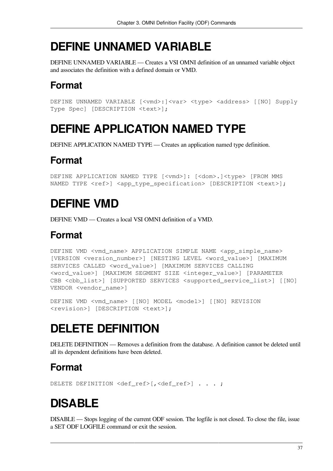## <span id="page-44-0"></span>**DEFINE UNNAMED VARIABLE**

DEFINE UNNAMED VARIABLE — Creates a VSI OMNI definition of an unnamed variable object and associates the definition with a defined domain or VMD.

## **Format**

DEFINE UNNAMED VARIABLE [<vmd>: <var> <type> <address> [[NO] Supply Type Spec] [DESCRIPTION <text>];

## <span id="page-44-1"></span>**DEFINE APPLICATION NAMED TYPE**

DEFINE APPLICATION NAMED TYPE — Creates an application named type definition.

### **Format**

DEFINE APPLICATION NAMED TYPE [<vmd>]: [<dom>.]<type> [FROM MMS NAMED TYPE <ref>] <app\_type\_specification> [DESCRIPTION <text>];

## <span id="page-44-2"></span>**DEFINE VMD**

DEFINE VMD — Creates a local VSI OMNI definition of a VMD.

### **Format**

```
DEFINE VMD <vmd_name> APPLICATION SIMPLE NAME <app_simple_name>
[VERSION <version_number>] [NESTING LEVEL <word_value>] [MAXIMUM
SERVICES CALLED <word_value>] [MAXIMUM SERVICES CALLING
<word_value>] [MAXIMUM SEGMENT SIZE <integer_value>] [PARAMETER
CBB <cbb_list>] [SUPPORTED SERVICES <supported_service_list>] [[NO]
VENDOR <vendor_name>]
```

```
DEFINE VMD <vmd_name> [[NO] MODEL <model>] [[NO] REVISION
<revision>] [DESCRIPTION <text>];
```
## <span id="page-44-3"></span>**DELETE DEFINITION**

DELETE DEFINITION — Removes a definition from the database. A definition cannot be deleted until all its dependent definitions have been deleted.

### **Format**

<span id="page-44-4"></span>DELETE DEFINITION <def\_ref>[,<def\_ref>] . . . ;

# **DISABLE**

DISABLE — Stops logging of the current ODF session. The logfile is not closed. To close the file, issue a SET ODF LOGFILE command or exit the session.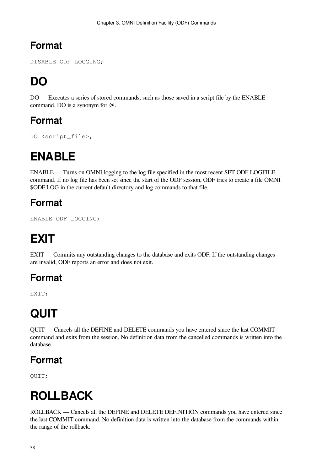<span id="page-45-0"></span>DISABLE ODF LOGGING;

# **DO**

DO — Executes a series of stored commands, such as those saved in a script file by the ENABLE command. DO is a synonym for @.

### **Format**

<span id="page-45-1"></span>DO <script\_file>;

# **ENABLE**

ENABLE — Turns on OMNI logging to the log file specified in the most recent SET ODF LOGFILE command. If no log file has been set since the start of the ODF session, ODF tries to create a file OMNI \$ODF.LOG in the current default directory and log commands to that file.

### **Format**

<span id="page-45-2"></span>ENABLE ODF LOGGING;

# **EXIT**

EXIT — Commits any outstanding changes to the database and exits ODF. If the outstanding changes are invalid, ODF reports an error and does not exit.

### **Format**

<span id="page-45-3"></span>EXIT;

# **QUIT**

QUIT — Cancels all the DEFINE and DELETE commands you have entered since the last COMMIT command and exits from the session. No definition data from the cancelled commands is written into the database.

## **Format**

<span id="page-45-4"></span>QUIT;

# **ROLLBACK**

ROLLBACK — Cancels all the DEFINE and DELETE DEFINITION commands you have entered since the last COMMIT command. No definition data is written into the database from the commands within the range of the rollback.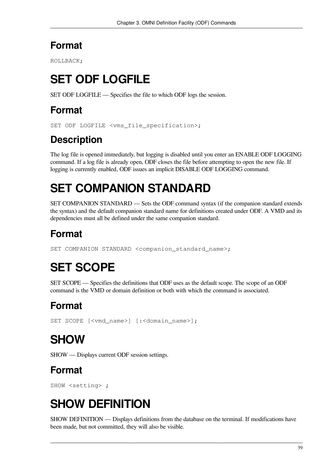<span id="page-46-0"></span>ROLLBACK;

# **SET ODF LOGFILE**

SET ODF LOGFILE — Specifies the file to which ODF logs the session.

### **Format**

SET ODF LOGFILE <vms file specification>;

## **Description**

The log file is opened immediately, but logging is disabled until you enter an ENABLE ODF LOGGING command. If a log file is already open, ODF closes the file before attempting to open the new file. If logging is currently enabled, ODF issues an implicit DISABLE ODF LOGGING command.

# <span id="page-46-1"></span>**SET COMPANION STANDARD**

SET COMPANION STANDARD — Sets the ODF command syntax (if the companion standard extends the syntax) and the default companion standard name for definitions created under ODF. A VMD and its dependencies must all be defined under the same companion standard.

## **Format**

```
SET COMPANION STANDARD <companion_standard_name>;
```
# **SET SCOPE**

SET SCOPE — Specifies the definitions that ODF uses as the default scope. The scope of an ODF command is the VMD or domain definition or both with which the command is associated.

## **Format**

```
SET SCOPE [<vmd_name>] [:<domain_name>];
```
# **SHOW**

SHOW — Displays current ODF session settings.

## **Format**

<span id="page-46-4"></span>SHOW <setting> ;

# **SHOW DEFINITION**

SHOW DEFINITION — Displays definitions from the database on the terminal. If modifications have been made, but not committed, they will also be visible.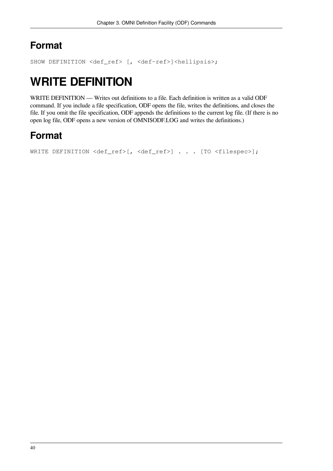<span id="page-47-0"></span>SHOW DEFINITION <def\_ref> [, <def-ref>]<hellipsis>;

## **WRITE DEFINITION**

WRITE DEFINITION — Writes out definitions to a file. Each definition is written as a valid ODF command. If you include a file specification, ODF opens the file, writes the definitions, and closes the file. If you omit the file specification, ODF appends the definitions to the current log file. (If there is no open log file, ODF opens a new version of OMNI\$ODF.LOG and writes the definitions.)

## **Format**

```
WRITE DEFINITION <def_ref>[, <def_ref>] . . . [TO <filespec>];
```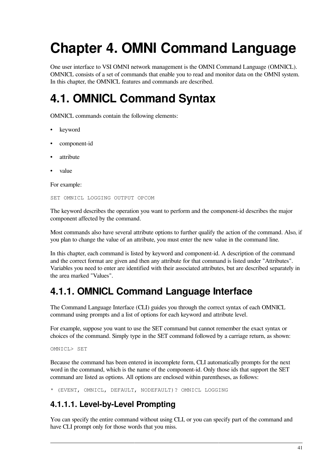# <span id="page-48-0"></span>**Chapter 4. OMNI Command Language**

One user interface to VSI OMNI network management is the OMNI Command Language (OMNICL). OMNICL consists of a set of commands that enable you to read and monitor data on the OMNI system. In this chapter, the OMNICL features and commands are described.

## <span id="page-48-1"></span>**4.1. OMNICL Command Syntax**

OMNICL commands contain the following elements:

- keyword
- component-id
- attribute
- value

For example:

SET OMNICL LOGGING OUTPUT OPCOM

The keyword describes the operation you want to perform and the component-id describes the major component affected by the command.

Most commands also have several attribute options to further qualify the action of the command. Also, if you plan to change the value of an attribute, you must enter the new value in the command line.

In this chapter, each command is listed by keyword and component-id. A description of the command and the correct format are given and then any attribute for that command is listed under "Attributes". Variables you need to enter are identified with their associated attributes, but are described separately in the area marked "Values".

### <span id="page-48-2"></span>**4.1.1. OMNICL Command Language Interface**

The Command Language Interface (CLI) guides you through the correct syntax of each OMNICL command using prompts and a list of options for each keyword and attribute level.

For example, suppose you want to use the SET command but cannot remember the exact syntax or choices of the command. Simply type in the SET command followed by a carriage return, as shown:

OMNICL> SET

Because the command has been entered in incomplete form, CLI automatically prompts for the next word in the command, which is the name of the component-id. Only those ids that support the SET command are listed as options. All options are enclosed within parentheses, as follows:

<span id="page-48-3"></span>\* (EVENT, OMNICL, DEFAULT, NODEFAULT)? OMNICL LOGGING

### **4.1.1.1. Level-by-Level Prompting**

You can specify the entire command without using CLI, or you can specify part of the command and have CLI prompt only for those words that you miss.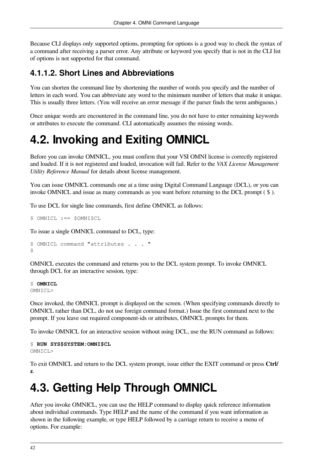Because CLI displays only supported options, prompting for options is a good way to check the syntax of a command after receiving a parser error. Any attribute or keyword you specify that is not in the CLI list of options is not supported for that command.

### <span id="page-49-0"></span>**4.1.1.2. Short Lines and Abbreviations**

You can shorten the command line by shortening the number of words you specify and the number of letters in each word. You can abbreviate any word to the minimum number of letters that make it unique. This is usually three letters. (You will receive an error message if the parser finds the term ambiguous.)

Once unique words are encountered in the command line, you do not have to enter remaining keywords or attributes to execute the command. CLI automatically assumes the missing words.

# <span id="page-49-1"></span>**4.2. Invoking and Exiting OMNICL**

Before you can invoke OMNICL, you must confirm that your VSI OMNI license is correctly registered and loaded. If it is not registered and loaded, invocation will fail. Refer to the *VAX License Management Utility Reference Manual* for details about license management.

You can issue OMNICL commands one at a time using Digital Command Language (DCL), or you can invoke OMNICL and issue as many commands as you want before returning to the DCL prompt ( \$ ).

To use DCL for single line commands, first define OMNICL as follows:

```
$ OMNICL :== $OMNI$CL
```
To issue a single OMNICL command to DCL, type:

```
$ OMNICL command "attributes . . . "
\mathsf{S}
```
OMNICL executes the command and returns you to the DCL system prompt. To invoke OMNICL through DCL for an interactive session, type:

\$ **OMNICL** OMNICL>

Once invoked, the OMNICL prompt is displayed on the screen. (When specifying commands directly to OMNICL rather than DCL, do not use foreign command format.) Issue the first command next to the prompt. If you leave out required component-ids or attributes, OMNICL prompts for them.

To invoke OMNICL for an interactive session without using DCL, use the RUN command as follows:

```
$ RUN SYS$SYSTEM:OMNI$CL
OMNICI.
```
To exit OMNICL and return to the DCL system prompt, issue either the EXIT command or press **Ctrl/ z**.

## <span id="page-49-2"></span>**4.3. Getting Help Through OMNICL**

After you invoke OMNICL, you can use the HELP command to display quick reference information about individual commands. Type HELP and the name of the command if you want information as shown in the following example, or type HELP followed by a carriage return to receive a menu of options. For example: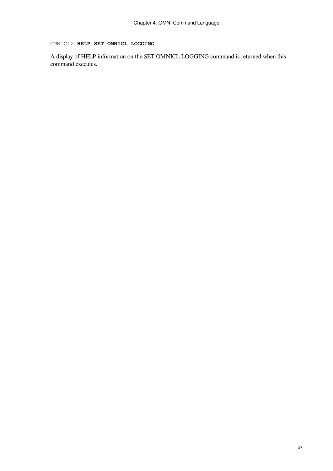#### OMNICL> **HELP SET OMNICL LOGGING**

A display of HELP information on the SET OMNICL LOGGING command is returned when this command executes.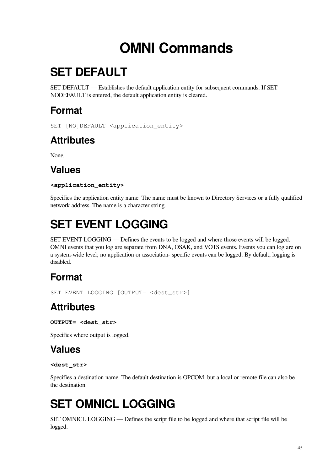# **OMNI Commands**

# <span id="page-52-1"></span><span id="page-52-0"></span>**SET DEFAULT**

SET DEFAULT — Establishes the default application entity for subsequent commands. If SET NODEFAULT is entered, the default application entity is cleared.

## **Format**

SET [NO]DEFAULT <application entity>

## **Attributes**

None.

## **Values**

### **<application\_entity>**

Specifies the application entity name. The name must be known to Directory Services or a fully qualified network address. The name is a character string.

# <span id="page-52-2"></span>**SET EVENT LOGGING**

SET EVENT LOGGING — Defines the events to be logged and where those events will be logged. OMNI events that you log are separate from DNA, OSAK, and VOTS events. Events you can log are on a system-wide level; no application or association- specific events can be logged. By default, logging is disabled.

## **Format**

SET EVENT LOGGING [OUTPUT= <dest\_str>]

## **Attributes**

**OUTPUT= <dest\_str>**

Specifies where output is logged.

### **Values**

#### **<dest\_str>**

Specifies a destination name. The default destination is OPCOM, but a local or remote file can also be the destination.

# <span id="page-52-3"></span>**SET OMNICL LOGGING**

SET OMNICL LOGGING — Defines the script file to be logged and where that script file will be logged.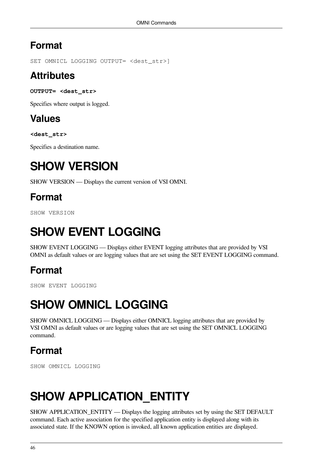SET OMNICL LOGGING OUTPUT= <dest\_str>]

### **Attributes**

**OUTPUT= <dest\_str>**

Specifies where output is logged.

### **Values**

**<dest\_str>**

<span id="page-53-0"></span>Specifies a destination name.

## **SHOW VERSION**

SHOW VERSION — Displays the current version of VSI OMNI.

## **Format**

<span id="page-53-1"></span>SHOW VERSION

# **SHOW EVENT LOGGING**

SHOW EVENT LOGGING — Displays either EVENT logging attributes that are provided by VSI OMNI as default values or are logging values that are set using the SET EVENT LOGGING command.

## **Format**

<span id="page-53-2"></span>SHOW EVENT LOGGING

# **SHOW OMNICL LOGGING**

SHOW OMNICL LOGGING — Displays either OMNICL logging attributes that are provided by VSI OMNI as default values or are logging values that are set using the SET OMNICL LOGGING command.

### **Format**

SHOW OMNICL LOGGING

# <span id="page-53-3"></span>**SHOW APPLICATION\_ENTITY**

SHOW APPLICATION\_ENTITY — Displays the logging attributes set by using the SET DEFAULT command. Each active association for the specified application entity is displayed along with its associated state. If the KNOWN option is invoked, all known application entities are displayed.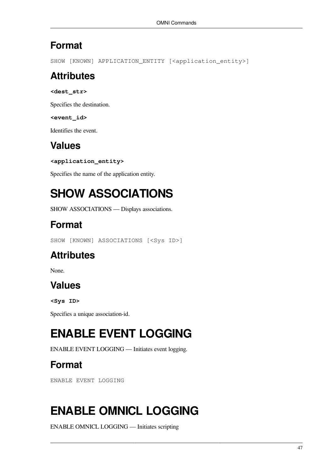SHOW [KNOWN] APPLICATION ENTITY [<application entity>]

### **Attributes**

**<dest\_str>**

Specifies the destination.

**<event\_id>**

Identifies the event.

## **Values**

**<application\_entity>**

<span id="page-54-0"></span>Specifies the name of the application entity.

# **SHOW ASSOCIATIONS**

SHOW ASSOCIATIONS — Displays associations.

## **Format**

SHOW [KNOWN] ASSOCIATIONS [<Sys ID>]

## **Attributes**

None.

### **Values**

**<Sys ID>**

<span id="page-54-1"></span>Specifies a unique association-id.

# **ENABLE EVENT LOGGING**

ENABLE EVENT LOGGING — Initiates event logging.

## **Format**

ENABLE EVENT LOGGING

# <span id="page-54-2"></span>**ENABLE OMNICL LOGGING**

ENABLE OMNICL LOGGING — Initiates scripting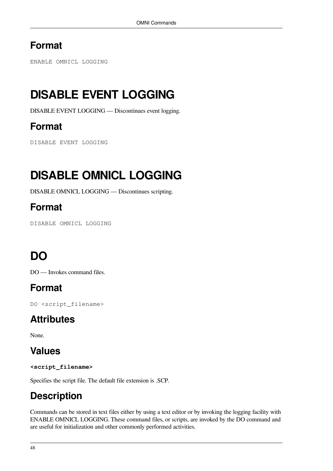ENABLE OMNICL LOGGING

# <span id="page-55-0"></span>**DISABLE EVENT LOGGING**

DISABLE EVENT LOGGING — Discontinues event logging.

### **Format**

DISABLE EVENT LOGGING

# <span id="page-55-1"></span>**DISABLE OMNICL LOGGING**

DISABLE OMNICL LOGGING — Discontinues scripting.

### **Format**

DISABLE OMNICL LOGGING

# <span id="page-55-2"></span>**DO**

DO — Invokes command files.

### **Format**

DO <script\_filename>

### **Attributes**

None.

### **Values**

**<script\_filename>**

Specifies the script file. The default file extension is .SCP.

## **Description**

Commands can be stored in text files either by using a text editor or by invoking the logging facility with ENABLE OMNICL LOGGING. These command files, or scripts, are invoked by the DO command and are useful for initialization and other commonly performed activities.